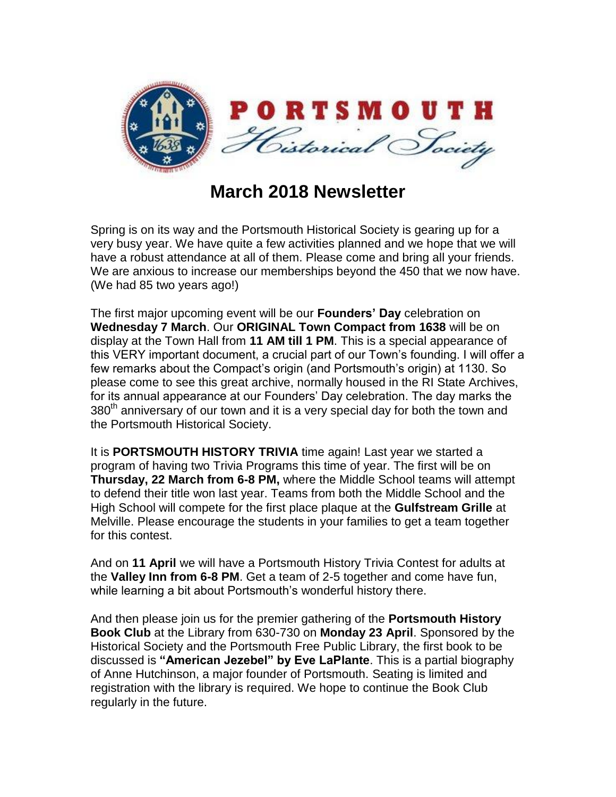

## **March 2018 Newsletter**

Spring is on its way and the Portsmouth Historical Society is gearing up for a very busy year. We have quite a few activities planned and we hope that we will have a robust attendance at all of them. Please come and bring all your friends. We are anxious to increase our memberships beyond the 450 that we now have. (We had 85 two years ago!)

The first major upcoming event will be our **Founders' Day** celebration on **Wednesday 7 March**. Our **ORIGINAL Town Compact from 1638** will be on display at the Town Hall from **11 AM till 1 PM**. This is a special appearance of this VERY important document, a crucial part of our Town's founding. I will offer a few remarks about the Compact's origin (and Portsmouth's origin) at 1130. So please come to see this great archive, normally housed in the RI State Archives, for its annual appearance at our Founders' Day celebration. The day marks the 380<sup>th</sup> anniversary of our town and it is a very special day for both the town and the Portsmouth Historical Society.

It is **PORTSMOUTH HISTORY TRIVIA** time again! Last year we started a program of having two Trivia Programs this time of year. The first will be on **Thursday, 22 March from 6-8 PM,** where the Middle School teams will attempt to defend their title won last year. Teams from both the Middle School and the High School will compete for the first place plaque at the **Gulfstream Grille** at Melville. Please encourage the students in your families to get a team together for this contest.

And on **11 April** we will have a Portsmouth History Trivia Contest for adults at the **Valley Inn from 6-8 PM**. Get a team of 2-5 together and come have fun, while learning a bit about Portsmouth's wonderful history there.

And then please join us for the premier gathering of the **Portsmouth History Book Club** at the Library from 630-730 on **Monday 23 April**. Sponsored by the Historical Society and the Portsmouth Free Public Library, the first book to be discussed is **"American Jezebel" by Eve LaPlante**. This is a partial biography of Anne Hutchinson, a major founder of Portsmouth. Seating is limited and registration with the library is required. We hope to continue the Book Club regularly in the future.